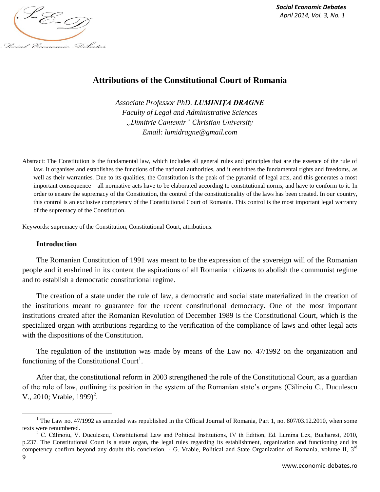

# **Attributions of the Constitutional Court of Romania**

*Associate Professor PhD. LUMINIŢA DRAGNE Faculty of Legal and Administrative Sciences "Dimitrie Cantemir" Christian University Email: lumidragne@gmail.com*

Abstract: The Constitution is the fundamental law, which includes all general rules and principles that are the essence of the rule of law. It organises and establishes the functions of the national authorities, and it enshrines the fundamental rights and freedoms, as well as their warranties. Due to its qualities, the Constitution is the peak of the pyramid of legal acts, and this generates a most important consequence – all normative acts have to be elaborated according to constitutional norms, and have to conform to it. In order to ensure the supremacy of the Constitution, the control of the constitutionality of the laws has been created. In our country, this control is an exclusive competency of the Constitutional Court of Romania. This control is the most important legal warranty of the supremacy of the Constitution.

Keywords: supremacy of the Constitution, Constitutional Court, attributions.

#### **Introduction**

The Romanian Constitution of 1991 was meant to be the expression of the sovereign will of the Romanian people and it enshrined in its content the aspirations of all Romanian citizens to abolish the communist regime and to establish a democratic constitutional regime.

The creation of a state under the rule of law, a democratic and social state materialized in the creation of the institutions meant to guarantee for the recent constitutional democracy. One of the most important institutions created after the Romanian Revolution of December 1989 is the Constitutional Court, which is the specialized organ with attributions regarding to the verification of the compliance of laws and other legal acts with the dispositions of the Constitution.

The regulation of the institution was made by means of the Law no. 47/1992 on the organization and functioning of the Constitutional Court<sup>1</sup>.

After that, the constitutional reform in 2003 strengthened the role of the Constitutional Court, as a guardian of the rule of law, outlining its position in the system of the Romanian state's organs (Călinoiu C., Duculescu V., 2010; Vrabie, 1999)<sup>2</sup>.

l

<sup>&</sup>lt;sup>1</sup> The Law no. 47/1992 as amended was republished in the Official Journal of Romania, Part 1, no. 807/03.12.2010, when some texts were renumbered.

<sup>&</sup>lt;sup>2</sup> C. Călinoiu, V. Duculescu, Constitutional Law and Political Institutions, IV th Edition, Ed. Lumina Lex, Bucharest, 2010, p.237. The Constitutional Court is a state organ, the legal rules regarding its establishment, organization and functioning and its competency confirm beyond any doubt this conclusion.  $-$  G. Vrabie, Political and State Organization of Romania, volume II,  $3<sup>rd</sup>$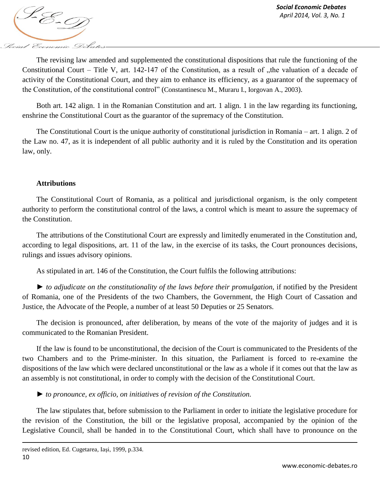

The revising law amended and supplemented the constitutional dispositions that rule the functioning of the Constitutional Court – Title V, art. 142-147 of the Constitution, as a result of  $n$ , the valuation of a decade of activity of the Constitutional Court, and they aim to enhance its efficiency, as a guarantor of the supremacy of the Constitution, of the constitutional control" (Constantinescu M., Muraru I., Iorgovan A., 2003).

Both art. 142 align. 1 in the Romanian Constitution and art. 1 align. 1 in the law regarding its functioning, enshrine the Constitutional Court as the guarantor of the supremacy of the Constitution.

The Constitutional Court is the unique authority of constitutional jurisdiction in Romania – art. 1 align. 2 of the Law no. 47, as it is independent of all public authority and it is ruled by the Constitution and its operation law, only.

## **Attributions**

The Constitutional Court of Romania, as a political and jurisdictional organism, is the only competent authority to perform the constitutional control of the laws, a control which is meant to assure the supremacy of the Constitution.

The attributions of the Constitutional Court are expressly and limitedly enumerated in the Constitution and, according to legal dispositions, art. 11 of the law, in the exercise of its tasks, the Court pronounces decisions, rulings and issues advisory opinions.

As stipulated in art. 146 of the Constitution, the Court fulfils the following attributions:

► *to adjudicate on the constitutionality of the laws before their promulgation,* if notified by the President of Romania, one of the Presidents of the two Chambers, the Government, the High Court of Cassation and Justice, the Advocate of the People, a number of at least 50 Deputies or 25 Senators.

The decision is pronounced, after deliberation, by means of the vote of the majority of judges and it is communicated to the Romanian President.

If the law is found to be unconstitutional, the decision of the Court is communicated to the Presidents of the two Chambers and to the Prime-minister. In this situation, the Parliament is forced to re-examine the dispositions of the law which were declared unconstitutional or the law as a whole if it comes out that the law as an assembly is not constitutional, in order to comply with the decision of the Constitutional Court.

► *to pronounce, ex officio, on initiatives of revision of the Constitution.*

The law stipulates that, before submission to the Parliament in order to initiate the legislative procedure for the revision of the Constitution, the bill or the legislative proposal, accompanied by the opinion of the Legislative Council, shall be handed in to the Constitutional Court, which shall have to pronounce on the

 $\overline{\phantom{a}}$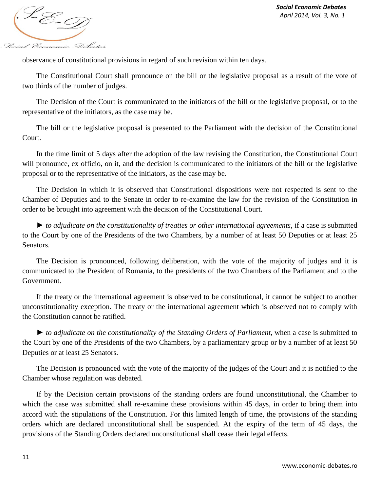

observance of constitutional provisions in regard of such revision within ten days.

The Constitutional Court shall pronounce on the bill or the legislative proposal as a result of the vote of two thirds of the number of judges.

The Decision of the Court is communicated to the initiators of the bill or the legislative proposal, or to the representative of the initiators, as the case may be.

The bill or the legislative proposal is presented to the Parliament with the decision of the Constitutional Court.

In the time limit of 5 days after the adoption of the law revising the Constitution, the Constitutional Court will pronounce, ex officio, on it, and the decision is communicated to the initiators of the bill or the legislative proposal or to the representative of the initiators, as the case may be.

The Decision in which it is observed that Constitutional dispositions were not respected is sent to the Chamber of Deputies and to the Senate in order to re-examine the law for the revision of the Constitution in order to be brought into agreement with the decision of the Constitutional Court.

► *to adjudicate on the constitutionality of treaties or other international agreements,* if a case is submitted to the Court by one of the Presidents of the two Chambers, by a number of at least 50 Deputies or at least 25 Senators.

The Decision is pronounced, following deliberation, with the vote of the majority of judges and it is communicated to the President of Romania, to the presidents of the two Chambers of the Parliament and to the Government.

If the treaty or the international agreement is observed to be constitutional, it cannot be subject to another unconstitutionality exception. The treaty or the international agreement which is observed not to comply with the Constitution cannot be ratified.

► *to adjudicate on the constitutionality of the Standing Orders of Parliament,* when a case is submitted to the Court by one of the Presidents of the two Chambers, by a parliamentary group or by a number of at least 50 Deputies or at least 25 Senators.

The Decision is pronounced with the vote of the majority of the judges of the Court and it is notified to the Chamber whose regulation was debated.

If by the Decision certain provisions of the standing orders are found unconstitutional, the Chamber to which the case was submitted shall re-examine these provisions within 45 days, in order to bring them into accord with the stipulations of the Constitution. For this limited length of time, the provisions of the standing orders which are declared unconstitutional shall be suspended. At the expiry of the term of 45 days, the provisions of the Standing Orders declared unconstitutional shall cease their legal effects.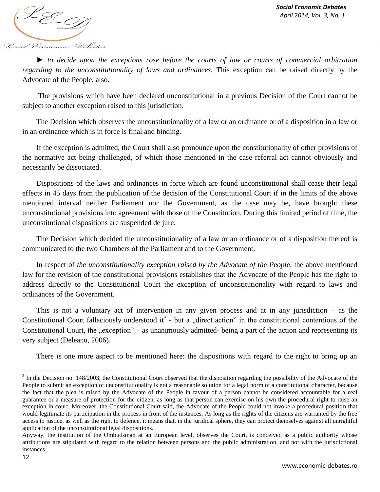

► *to decide upon the exceptions rose before the courts of law or courts of commercial arbitration regarding to the unconstitutionality of laws and ordinances.* This exception can be raised directly by the Advocate of the People, also.

The provisions which have been declared unconstitutional in a previous Decision of the Court cannot be subject to another exception raised to this jurisdiction.

The Decision which observes the unconstitutionality of a law or an ordinance or of a disposition in a law or in an ordinance which is in force is final and binding.

If the exception is admitted, the Court shall also pronounce upon the constitutionality of other provisions of the normative act being challenged, of which those mentioned in the case referral act cannot obviously and necessarily be dissociated.

Dispositions of the laws and ordinances in force which are found unconstitutional shall cease their legal effects in 45 days from the publication of the decision of the Constitutional Court if in the limits of the above mentioned interval neither Parliament nor the Government, as the case may be, have brought these unconstitutional provisions into agreement with those of the Constitution. During this limited period of time, the unconstitutional dispositions are suspended de jure.

The Decision which decided the unconstitutionality of a law or an ordinance or of a disposition thereof is communicated to the two Chambers of the Parliament and to the Government.

In respect of *the unconstitutionality exception raised by the Advocate of the People*, the above mentioned law for the revision of the constitutional provisions establishes that the Advocate of the People has the right to address directly to the Constitutional Court the exception of unconstitutionality with regard to laws and ordinances of the Government.

This is not a voluntary act of intervention in any given process and at in any jurisdiction – as the Constitutional Court fallaciously understood it<sup>3</sup> - but a "direct action" in the constitutional contentious of the Constitutional Court, the  $n$ exception" – as unanimously admitted-being a part of the action and representing its very subject (Deleanu, 2006).

There is one more aspect to be mentioned here: the dispositions with regard to the right to bring up an

l

 $3$  In the Decision no. 148/2003, the Constitutional Court observed that the disposition regarding the possibility of the Advocate of the People to submit an exception of unconstitutionality is not a reasonable solution for a legal norm of a constitutional character, because the fact that the plea is raised by the Advocate of the People in favour of a person cannot be considered accountable for a real guarantee or a measure of protection for the citizen, as long as that person can exercise on his own the procedural right to raise an exception in court. Moreover, the Constitutional Court said, the Advocate of the People could not invoke a procedural position that would legitimate its participation in the process in front of the instances. As long as the rights of the citizens are warranted by the free access to justice, as well as the right to defence, it means that, in the juridical sphere, they can protect themselves against all unrightful application of the unconstitutional legal dispositions.

Anyway, the institution of the Ombudsman at an European level, observes the Court, is conceived as a public authority whose attributions are stipulated with regard to the relation between persons and the public administration, and not with the jurisdictional instances.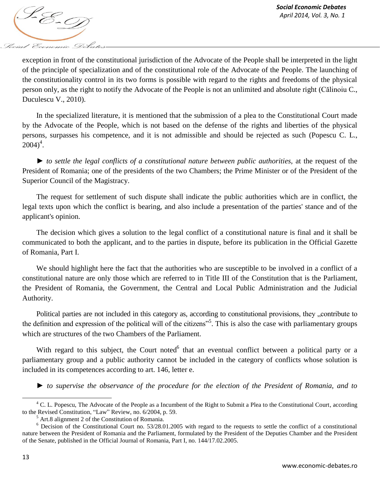

exception in front of the constitutional jurisdiction of the Advocate of the People shall be interpreted in the light of the principle of specialization and of the constitutional role of the Advocate of the People. The launching of the constitutionality control in its two forms is possible with regard to the rights and freedoms of the physical person only, as the right to notify the Advocate of the People is not an unlimited and absolute right (Călinoiu C., Duculescu V., 2010).

In the specialized literature, it is mentioned that the submission of a plea to the Constitutional Court made by the Advocate of the People, which is not based on the defense of the rights and liberties of the physical persons, surpasses his competence, and it is not admissible and should be rejected as such (Popescu C. L.,  $2004)^4$ .

► *to settle the legal conflicts of a constitutional nature between public authorities,* at the request of the President of Romania; one of the presidents of the two Chambers; the Prime Minister or of the President of the Superior Council of the Magistracy.

The request for settlement of such dispute shall indicate the public authorities which are in conflict, the legal texts upon which the conflict is bearing, and also include a presentation of the parties' stance and of the applicant's opinion.

The decision which gives a solution to the legal conflict of a constitutional nature is final and it shall be communicated to both the applicant, and to the parties in dispute, before its publication in the Official Gazette of Romania, Part I.

We should highlight here the fact that the authorities who are susceptible to be involved in a conflict of a constitutional nature are only those which are referred to in Title III of the Constitution that is the Parliament, the President of Romania, the Government, the Central and Local Public Administration and the Judicial Authority.

Political parties are not included in this category as, according to constitutional provisions, they "contribute to the definition and expression of the political will of the citizens<sup>35</sup>. This is also the case with parliamentary groups which are structures of the two Chambers of the Parliament.

With regard to this subject, the Court noted<sup>6</sup> that an eventual conflict between a political party or a parliamentary group and a public authority cannot be included in the category of conflicts whose solution is included in its competences according to art. 146, letter e.

► *to supervise the observance of the procedure for the election of the President of Romania, and to* 

 $\overline{a}$ 

<sup>&</sup>lt;sup>4</sup> C. L. Popescu, The Advocate of the People as a Incumbent of the Right to Submit a Plea to the Constitutional Court, according to the Revised Constitution, "Law" Review, no. 6/2004, p. 59.

 $<sup>5</sup>$  Art.8 alignment 2 of the Constitution of Romania.</sup>

 $6$  Decision of the Constitutional Court no. 53/28.01.2005 with regard to the requests to settle the conflict of a constitutional nature between the President of Romania and the Parliament, formulated by the President of the Deputies Chamber and the President of the Senate, published in the Official Journal of Romania, Part I, no. 144/17.02.2005.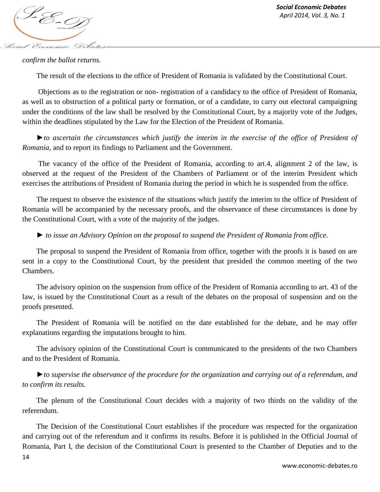

### *confirm the ballot returns.*

The result of the elections to the office of President of Romania is validated by the Constitutional Court.

Objections as to the registration or non- registration of a candidacy to the office of President of Romania, as well as to obstruction of a political party or formation, or of a candidate, to carry out electoral campaigning under the conditions of the law shall be resolved by the Constitutional Court, by a majority vote of the Judges, within the deadlines stipulated by the Law for the Election of the President of Romania.

►*to ascertain the circumstances which justify the interim in the exercise of the office of President of Romania*, and to report its findings to Parliament and the Government.

The vacancy of the office of the President of Romania, according to art.4, alignment 2 of the law, is observed at the request of the President of the Chambers of Parliament or of the interim President which exercises the attributions of President of Romania during the period in which he is suspended from the office.

The request to observe the existence of the situations which justify the interim to the office of President of Romania will be accompanied by the necessary proofs, and the observance of these circumstances is done by the Constitutional Court, with a vote of the majority of the judges.

► *to issue an Advisory Opinion on the proposal to suspend the President of Romania from office*.

The proposal to suspend the President of Romania from office, together with the proofs it is based on are sent in a copy to the Constitutional Court, by the president that presided the common meeting of the two Chambers.

The advisory opinion on the suspension from office of the President of Romania according to art. 43 of the law, is issued by the Constitutional Court as a result of the debates on the proposal of suspension and on the proofs presented.

The President of Romania will be notified on the date established for the debate, and he may offer explanations regarding the imputations brought to him.

The advisory opinion of the Constitutional Court is communicated to the presidents of the two Chambers and to the President of Romania.

►*to supervise the observance of the procedure for the organization and carrying out of a referendum, and to confirm its results.* 

The plenum of the Constitutional Court decides with a majority of two thirds on the validity of the referendum.

The Decision of the Constitutional Court establishes if the procedure was respected for the organization and carrying out of the referendum and it confirms its results. Before it is published in the Official Journal of Romania, Part I, the decision of the Constitutional Court is presented to the Chamber of Deputies and to the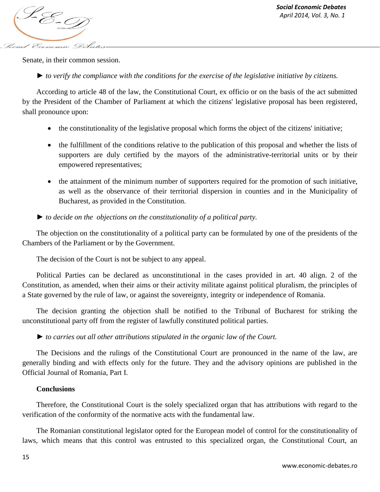*April* 2014, *Vol. 3, No. 1*<br>*April 2014, Vol. 3, No. 1* Social Economic Debate

Senate, in their common session.

► *to verify the compliance with the conditions for the exercise of the legislative initiative by citizens.* 

According to article 48 of the law, the Constitutional Court, ex officio or on the basis of the act submitted by the President of the Chamber of Parliament at which the citizens' legislative proposal has been registered, shall pronounce upon:

- the constitutionality of the legislative proposal which forms the object of the citizens' initiative;
- the fulfillment of the conditions relative to the publication of this proposal and whether the lists of supporters are duly certified by the mayors of the administrative-territorial units or by their empowered representatives;
- the attainment of the minimum number of supporters required for the promotion of such initiative, as well as the observance of their territorial dispersion in counties and in the Municipality of Bucharest, as provided in the Constitution.
- ► *to decide on the objections on the constitutionality of a political party.*

The objection on the constitutionality of a political party can be formulated by one of the presidents of the Chambers of the Parliament or by the Government.

The decision of the Court is not be subject to any appeal.

Political Parties can be declared as unconstitutional in the cases provided in art. 40 align. 2 of the Constitution, as amended, when their aims or their activity militate against political pluralism, the principles of a State governed by the rule of law, or against the sovereignty, integrity or independence of Romania.

The decision granting the objection shall be notified to the Tribunal of Bucharest for striking the unconstitutional party off from the register of lawfully constituted political parties.

► *to carries out all other attributions stipulated in the organic law of the Court.* 

The Decisions and the rulings of the Constitutional Court are pronounced in the name of the law, are generally binding and with effects only for the future. They and the advisory opinions are published in the Official Journal of Romania, Part I.

### **Conclusions**

Therefore, the Constitutional Court is the solely specialized organ that has attributions with regard to the verification of the conformity of the normative acts with the fundamental law.

The Romanian constitutional legislator opted for the European model of control for the constitutionality of laws, which means that this control was entrusted to this specialized organ, the Constitutional Court, an